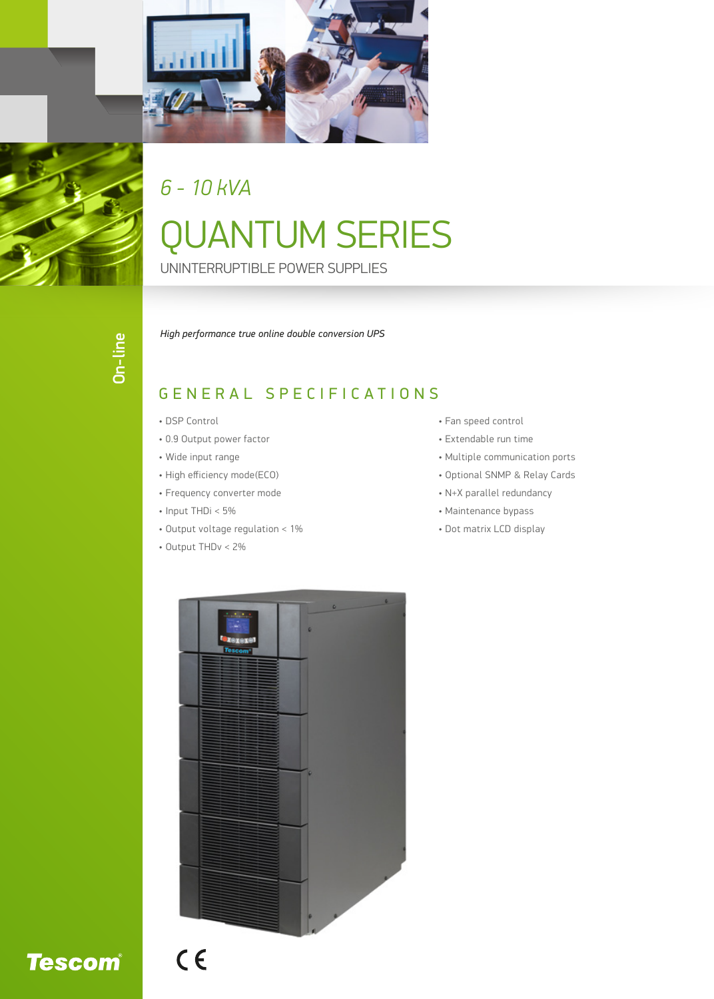

### *6 - 10 kVA*

# QUANTUM SERIES

UNINTERRUPTIBLE POWER SUPPLIES

*High performance true online double conversion UPS*

#### GENERAL SPECIFICATIONS

- DSP Control
- 0.9 Output power factor
- Wide input range
- High efficiency mode(ECO)
- Frequency converter mode
- Input THDi < 5%
- Output voltage regulation < 1%
- Output THDv < 2%
- Fan speed control
- Extendable run time
- Multiple communication ports
- Optional SNMP & Relay Cards
- N+X parallel redundancy
- Maintenance bypass
- Dot matrix LCD display



# **Tescom®**